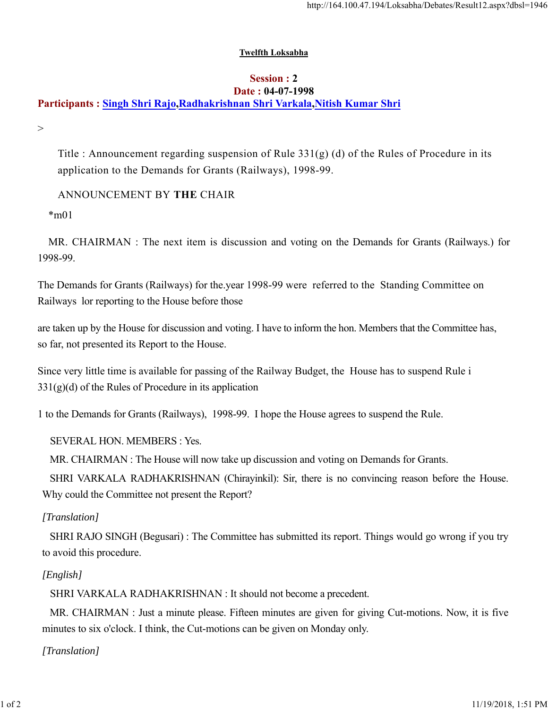#### **Twelfth Loksabha**

#### **Session : 2 Date : 04-07-1998**

# **Participants : Singh Shri Rajo,Radhakrishnan Shri Varkala,Nitish Kumar Shri**

 $>$ 

Title : Announcement regarding suspension of Rule  $331(g)$  (d) of the Rules of Procedure in its application to the Demands for Grants (Railways), 1998-99.

ANNOUNCEMENT BY **THE** CHAIR

 $*$ m $01$ 

MR. CHAIRMAN : The next item is discussion and voting on the Demands for Grants (Railways.) for 1998-99.

The Demands for Grants (Railways) for the.year 1998-99 were referred to the Standing Committee on Railways lor reporting to the House before those

are taken up by the House for discussion and voting. I have to inform the hon. Members that the Committee has, so far, not presented its Report to the House.

Since very little time is available for passing of the Railway Budget, the House has to suspend Rule i  $331(g)(d)$  of the Rules of Procedure in its application

1 to the Demands for Grants (Railways), 1998-99. I hope the House agrees to suspend the Rule.

SEVERAL HON. MEMBERS : Yes.

MR. CHAIRMAN : The House will now take up discussion and voting on Demands for Grants.

SHRI VARKALA RADHAKRISHNAN (Chirayinkil): Sir, there is no convincing reason before the House. Why could the Committee not present the Report?

### *[Translation]*

SHRI RAJO SINGH (Begusari) : The Committee has submitted its report. Things would go wrong if you try to avoid this procedure.

## *[English]*

SHRI VARKALA RADHAKRISHNAN : It should not become a precedent.

MR. CHAIRMAN : Just a minute please. Fifteen minutes are given for giving Cut-motions. Now, it is five minutes to six o'clock. I think, the Cut-motions can be given on Monday only.

*[Translation]*